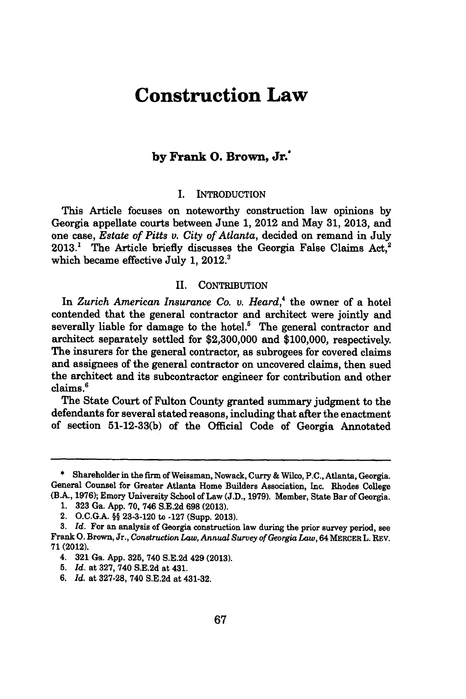# **Construction Law**

## **by Frank 0. Brown, Jr.\***

### I. INTRODUCTION

This Article focuses on noteworthy construction law opinions **by** Georgia appellate courts between June **1,** 2012 and May **31, 2013,** and one case, *Estate of Pitts v. City of Atlanta,* decided on remand in July 2013.<sup>1</sup> The Article briefly discusses the Georgia False Claims Act,<sup>2</sup> which became effective July **1,** 2012.'

#### II. CONTRIBUTION

In *Zurich American Insurance Co. v. Heard,'* the owner of a hotel contended that the general contractor and architect were jointly and severally liable for damage to the hotel.<sup>5</sup> The general contractor and architect separately settled for **\$2,300,000** and **\$100,000,** respectively. The insurers for the general contractor, as subrogees for covered claims and assignees of the general contractor on uncovered claims, then sued the architect and its subcontractor engineer for contribution and other claims.'

The State Court of Fulton County granted summary judgment to the defendants for several stated reasons, including that after the enactment of section **51-12-33(b)** of the Official Code of Georgia Annotated

**<sup>\*</sup>** Shareholder in the firm of Weissman, Nowack, Curry **&** Wilco, **P.C.,** Atlanta, Georgia. General Counsel for Greater Atlanta Home Builders Association, Inc. Rhodes College (BA., **1976);** Emory University School of Law **(J.D., 1979).** Member, State Bar of Georgia.

**<sup>1. 323</sup>** Ga. **App. 70,** 746 **S.E.2d 698 (2013).**

<sup>2.</sup> **O.C.G.A. §§ 23-3-120** to **-127** (Supp. **2013).**

**<sup>3.</sup>** *Id.* For an analysis of Georgia construction law during the prior survey period, see Frank **0.** Brown, Jr., *Construction Law, Annual Survey of Georgia Law,* 64 MERCER L. REV. **71 (2012).**

<sup>4.</sup> **321** Ga. **App. 325,** 740 **S.E.2d** 429 **(2013).**

**<sup>5.</sup>** *Id.* at **327,** 740 **S.E.2d** at 431.

**<sup>6.</sup>** *Id.* at **327-28,** 740 **S.E.2d** at 431-32.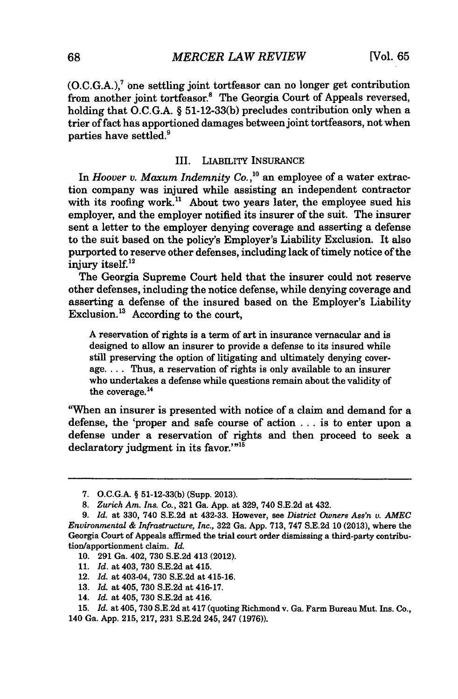$(0.C.G.A.)$ <sup>7</sup> one settling joint tortfeasor can no longer get contribution from another joint tortfeasor.<sup>8</sup> The Georgia Court of Appeals reversed, holding that **O.C.G.A.** *§* **51-12-33(b)** precludes contribution only when a trier of fact has apportioned damages between joint tortfeasors, not when parties have settled.9

#### III. LIABILITY INSURANCE

In *Hoover v. Maxum Indemnity Co.,1o* an employee of a water extraction company was injured while assisting an independent contractor with its roofing work.<sup>11</sup> About two vears later, the employee sued his employer, and the employer notified its insurer of the suit. The insurer sent a letter to the employer denying coverage and asserting a defense to the suit based on the policy's Employer's Liability Exclusion. It also purported to reserve other defenses, including lack of timely notice of the injury itself.<sup>12</sup>

The Georgia Supreme Court held that the insurer could not reserve other defenses, including the notice defense, while denying coverage and asserting a defense of the insured based on the Employer's Liability Exclusion. $^{13}$  According to the court,

**A** reservation of rights is a term of art in insurance vernacular and is designed to allow an insurer to provide a defense to its insured while still preserving the option of litigating and ultimately denying coverage. **...** Thus, a reservation of rights is only available to an insurer who undertakes a defense while questions remain about the validity of the coverage.<sup>14</sup>

"When an insurer is presented with notice of a claim and demand for a defense, the 'proper and safe course of action **...** is to enter upon a defense under a reservation of rights and then proceed to seek a declaratory judgment in its favor. $1^{n\bar{5}}$ 

- **10. 291** Ga. 402, **730 S.E.2d** 413 (2012).
- **11.** *Id.* at 403, **730 S.E.2d** at 415.
- 12. *Id.* at 403-04, **730 S.E.2d** at 415-16.
- **13.** *Id.* at 405, **730 S.E.2d** at 416-17.
- 14. *Id.* at 405, **730 S.E.2d** at 416.

**15.** *Id.* at 405, **730 S.E.2d** at 417 (quoting Richmond v. Ga. Farm Bureau Mut. Ins. Co., 140 Ga. **App. 215, 217, 231 S.E.2d** 245, 247 **(1976)).**

**<sup>7.</sup> O.C.G.A.** *§* **51-12-33(b)** (Supp. **2013).**

*<sup>8.</sup> Zurich Am. Ins. Co.,* **321** Ga. **App.** at **329,** 740 **S.E.2d** at 432.

*<sup>9.</sup> Id.* at **330,** 740 **S.E.2d** at 432-33. However, see *District Owners Ass'n v. AMEC Environmental & Infrastructure, Inc.,* **322** Ga. **App. 713, 747 S.E.2d 10 (2013),** where the Georgia Court **of** Appeals affirmed the trial court order dismissing a third-party contribution/apportionment claim. *Id.*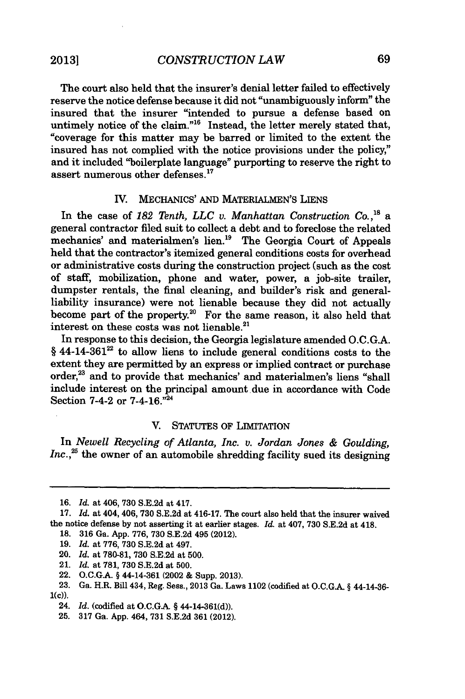The court also held that the insurer's denial letter failed to effectively reserve the notice defense because it did not "unambiguously inform" the insured that the insurer "intended to pursue a defense based on untimely notice of the claim."<sup>16</sup> Instead, the letter merely stated that, "coverage for this matter may be barred or limited to the extent the insured has not complied with the notice provisions under the policy," and it included "boilerplate language" purporting to reserve the right to assert numerous other defenses.<sup>17</sup>

## IV. **MECHANICS' AND** MATERIALMEN'S LIENS

In the case of *182 Tenth, LLC v. Manhattan Construction Co.,"s* a general contractor filed suit to collect a debt and to foreclose the related mechanics' and materialmen's lien.<sup>19</sup> The Georgia Court of Appeals held that the contractor's itemized general conditions costs for overhead or administrative costs during the construction project (such as the cost of staff, mobilization, phone and water, power, a job-site trailer, dumpster rentals, the final cleaning, and builder's risk and generalliability insurance) were not lienable because they did not actually become part of the property.<sup>20</sup> For the same reason, it also held that interest on these costs was not lienable. $21$ 

In response to this decision, the Georgia legislature amended **O.C.G.A.** *§* 44-14-36122 to allow liens to include general conditions costs to the extent they are permitted **by** an express or implied contract or purchase order,<sup>23</sup> and to provide that mechanics' and materialmen's liens "shall include interest on the principal amount due in accordance with Code Section 7-4-2 or 7-4-16."<sup>24</sup>

#### V. STATUTES OF LIMITATION

In *Newell Recycling of Atlanta, Inc. v. Jordan Jones & Goulding,* Inc.,<sup>25</sup> the owner of an automobile shredding facility sued its designing

**<sup>16.</sup>** *Id.* at 406, **730 S.E.2d** at 417.

**<sup>17.</sup>** *Id.* at 404, 406, 730 **S.E.2d** at 416-17. The court also held that the insurer waived the notice defense **by** not asserting it at earlier stages. *Id.* at 407, **730 S.E.2d** at 418. **18. 316** Ga. **App. 776, 730 S.E.2d** 495 (2012).

**<sup>19.</sup>** *Id.* at **776, 730 S.E.2d** at 497.

<sup>20.</sup> *Id.* at **780-81, 730 S.E.2d** at **500.**

<sup>21.</sup> *Id.* at **781, 730 S.E.2d** at **500.**

<sup>22.</sup> **O.C.G.A. §** 44-14-361 (2002 **&** Supp. **2013).**

**<sup>23.</sup>** Ga. H.R. Bill 434, Reg. Sess., **2013** Ga. Laws 1102 (codified at **O.C.G.A. §** 44-14-36- **1(c)).**

<sup>24.</sup> *Id.* (codified at **O.C.GA §** 44-14-361(d)).

**<sup>25. 317</sup>** Ga. **App.** 464, **731 S.E.2d 361** (2012).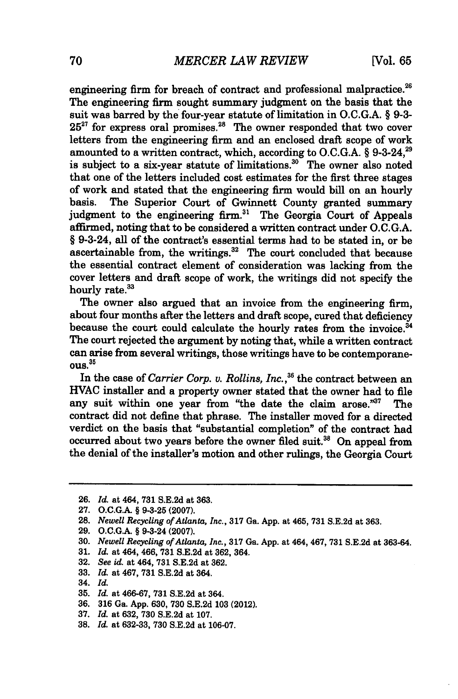engineering firm for breach of contract and professional malpractice.<sup>26</sup> The engineering firm sought summary judgment on the basis that the suit was barred **by** the four-year statute of limitation in **O.C.G.A.** *§* **9-3-** 25<sup>27</sup> for express oral promises.<sup>28</sup> The owner responded that two cover letters from the engineering firm and an enclosed draft scope of work amounted to a written contract, which, according to O.C.G.A. § 9-3-24,<sup>29</sup> is subject to a six-year statute of limitations. $30$  The owner also noted that one of the letters included cost estimates for the first three stages of work and stated that the engineering firm would bill on an hourly basis. The Superior Court of Gwinnett County granted summary judgment to the engineering firm.<sup>31</sup> The Georgia Court of Appeals affirmed, noting that to be considered a written contract under **O.C.G.A.** *§* 9-3-24, all of the contract's essential terms had to be stated in, or be ascertainable from, the writings. $32$  The court concluded that because the essential contract element of consideration was lacking from the cover letters and draft scope of work, the writings did not specify the hourly rate.<sup>33</sup>

The owner also argued that an invoice from the engineering firm, about four months after the letters and draft scope, cured that deficiency because the court could calculate the hourly rates from the invoice.<sup>34</sup> The court rejected the argument **by** noting that, while a written contract can arise from several writings, those writings have to be contemporane**ous. <sup>35</sup>**

In the case of *Carrier Corp. v. Rollins, Inc.*,<sup>36</sup> the contract between an **HVAC** installer and a property owner stated that the owner had to file any suit within one year from "the date the claim arose."<sup>37</sup> The contract did not define that phrase. The installer moved for a directed verdict on the basis that "substantial completion" of the contract had occurred about two years before the owner filed suit.<sup>38</sup> On appeal from the denial of the installer's motion and other rulings, the Georgia Court

- **32.** *See id. at 464,* **731 S.E.2d** at **362.**
- **33.** *Id. at 467,* **731 S.E.2d** at 364.
- 34. *Id.*
- **35.** *Id. at 466-67,* **731 S.E.2d** at 364.
- **36. 316** Ga. **App. 630, 730 S.E.2d 103** (2012).
- **37.** *Id. at* **632, 730 S.E.2d** at **107.**
- **38.** *Id. at* **632-33, 730 S.E.2d** at **106-07.**

**<sup>26.</sup>** *Id. at* 464, **731 S.E.2d** *at* **363.**

**<sup>27.</sup> O.C.G.A. § 9-3-25 (2007).**

**<sup>28.</sup>** *Newell Recycling of Atlanta, Inc.,* **317** Ga. **App.** at 465, **731 S.E.2d** at **363.**

**<sup>29.</sup> O.C.G.A.** *§* 9-3-24 **(2007).**

**<sup>30.</sup>** *Newell Recycling of Atlanta, Inc.,* **317** Ga. **App.** at 464, 467, **731 S.E.2d** at **363-64.**

**<sup>31.</sup>** *Id. at 464, 466,* **731 S.E.2d** at **362,** 364.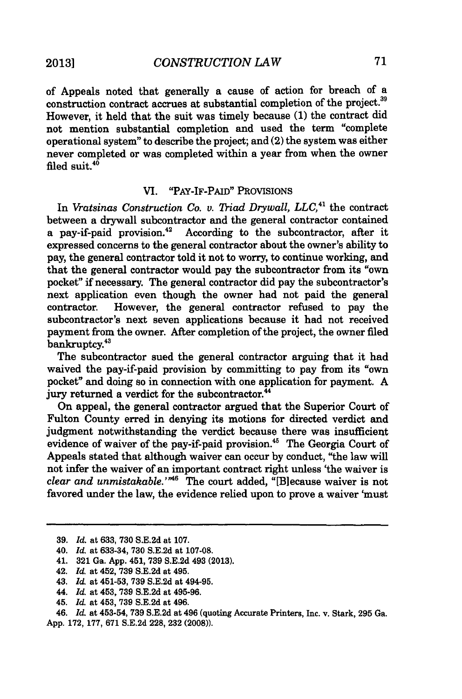of Appeals noted that generally a cause of action for breach of a construction contract accrues at substantial completion of the project.<sup>39</sup> However, it held that the suit was timely because **(1)** the contract did not mention substantial completion and used the term "complete operational system" to describe the project; and (2) the system was either never completed or was completed within a year from when the owner filed suit. $40$ 

## VI. "PAY-IF-PAID" PROVISIONS

In *Vratsinas Construction Co. v. 7iad Drywall, LLC,"* the contract between a drywall subcontractor and the general contractor contained a pay-if-paid provision.<sup>42</sup> According to the subcontractor, after it expressed concerns to the general contractor about the owner's ability to pay, the general contractor told it not to worry, to continue working, and that the general contractor would pay the subcontractor from its "own pocket" **if** necessary. The general contractor did pay the subcontractor's next application even though the owner had not paid the general contractor. However, the general contractor refused to pay the subcontractor's next seven applications because it had not received payment from the owner. After completion of the project, the owner filed bankruptcy.<sup>43</sup>

The subcontractor sued the general contractor arguing that it had waived the pay-if-paid provision **by** committing to pay from its "own pocket" and doing so in connection with one application for payment. **A** jury returned a verdict for the subcontractor.<sup>44</sup>

On appeal, the general contractor argued that the Superior Court of Fulton County erred in denying its motions for directed verdict and judgment notwithstanding the verdict because there was insufficient evidence of waiver of the pay-if-paid provision.<sup>45</sup> The Georgia Court of Appeals stated that although waiver can occur **by** conduct, "the law **will** not infer the waiver of an important contract right unless 'the waiver is *clear and unmistakable."'6* The court added, "[Blecause waiver is not favored under the law, the evidence relied upon to prove a waiver 'must

*46. Id.* at 453-54, **739 S.E.2d** at 496 (quoting Accurate Printers, Inc. v. Stark, **295** Ga. **App. 172, 177, 671 S.E.2d 228, 232 (2008)).**

**<sup>39.</sup>** *Id.* at **633, 730 S.E.2d** at **107.**

<sup>40.</sup> *Id.* at **633-34, 730 S.E.2d** at **107-08.**

<sup>41.</sup> **321** Ga. **App.** 451, **739 S.E.2d** 493 **(2013).**

<sup>42.</sup> *Id.* at 452, **739 S.E.2d** at 495.

<sup>43.</sup> *Id.* at **451-53, 739 S.E.2d** at 494-95.

<sup>44.</sup> *Id.* at 453, **739 S.E.2d** at **495-96.**

<sup>45.</sup> *Id.* at 453, **739 S.E.2d** at 496.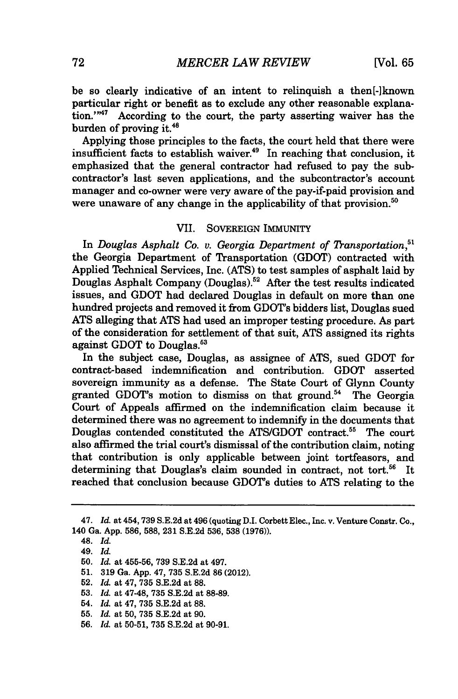be so clearly indicative of an intent to relinquish a then[-]known particular right or benefit as to exclude any other reasonable explanation."<sup>47</sup> According to the court, the party asserting waiver has the burden of proving it.<sup>48</sup>

Applying those principles to the facts, the court held that there were insufficient facts to establish waiver.<sup>49</sup> In reaching that conclusion, it emphasized that the general contractor had refused to pay the subcontractor's last seven applications, and the subcontractor's account manager and co-owner were very aware of the pay-if-paid provision and were unaware of any change in the applicability of that provision.<sup>50</sup>

## VII. SOVEREIGN IMMUNITY

In *Douglas Asphalt Co. v. Georgia Department of Transportation*,<sup>51</sup> the Georgia Department of Transportation **(GDOT)** contracted with Applied Technical Services, Inc. **(ATS)** to test samples of asphalt laid **by** Douglas Asphalt Company (Douglas).52 After the test results indicated issues, and **GDOT** had declared Douglas in default on more than one hundred projects and removed it from GDOT's bidders list, Douglas sued **ATS** alleging that **ATS** had used an improper testing procedure. As part of the consideration for settlement of that suit, **ATS** assigned its rights against **GDOT** to Douglas.53

In the subject case, Douglas, as assignee of **ATS,** sued **GDOT** for contract-based indemnification and contribution. **GDOT** asserted sovereign immunity as a defense. The State Court of Glynn County granted GDOT's motion to dismiss on that ground.<sup>54</sup> The Georgia Court of Appeals affirmed on the indemnification claim because it determined there was no agreement *to* indemnify in the documents that Douglas contended constituted the **ATS/GDOT** contract.55 The court also affirmed the trial court's dismissal of the contribution claim, noting that contribution is only applicable between joint tortfeasors, and determining that Douglas's claim sounded in contract, not **tort.56** It reached that conclusion because GDOT's duties to **ATS** relating to the

<sup>47.</sup> *Id.* at 454,739 **S.E.2d** at 496 (quoting D.I. Corbett Elec., Inc. v. Venture Constr. Co., 140 Ga. **App. 586, 588, 231 S.E.2d 536, 538 (1976)).**

<sup>48.</sup> *Id.*

<sup>49.</sup> *Id.*

**<sup>50.</sup>** *Id.* at **455-56, 739 S.E.2d** at 497.

**<sup>51. 319</sup>** Ga. **App.** 47, **735 S.E.2d 86** (2012).

**<sup>52.</sup>** *Id.* at 47, **735 S.E.2d** at **88.**

**<sup>53.</sup>** *Id.* at 47-48, **735 S.E.2d** at **88-89.**

<sup>54.</sup> *Id.* at 47, **735 S.E.2d** at **88.**

**<sup>55.</sup>** *Id.* at **50, 735 S.E.2d** at **90.**

**<sup>56.</sup>** *Id.* at **50-51, 735 S.E.2d** at **90-91.**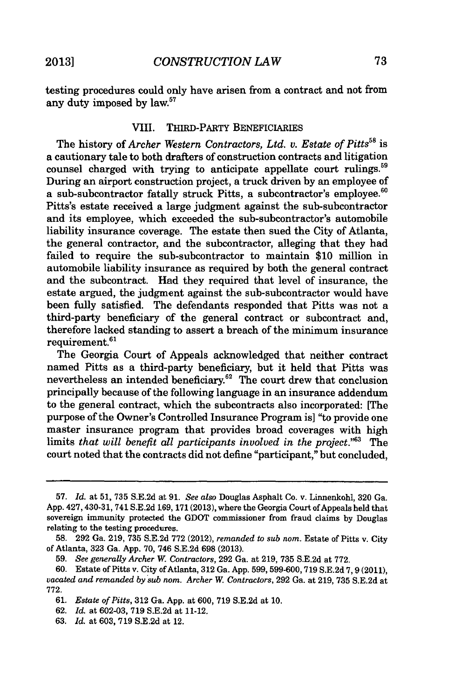testing procedures could only have arisen from a contract and not from any duty imposed by law.<sup>57</sup>

## VIII. **THIRD-PARTY** BENEFICIARIES

The history of *Archer Western Contractors, Ltd. v. Estate of Pitts's is* a cautionary tale to both drafters of construction contracts and litigation counsel charged with trying to anticipate appellate court rulings.<sup>59</sup> During an airport construction project, a truck driven **by** an employee of a sub-subcontractor fatally struck Pitts, a subcontractor's employee.<sup>60</sup> Pitts's estate received a large judgment against the sub-subcontractor and its employee, which exceeded the sub-subcontractor's automobile liability insurance coverage. The estate then sued the City of Atlanta, the general contractor, and the subcontractor, alleging that they had failed to require the sub-subcontractor to maintain **\$10** million in automobile liability insurance as required **by** both the general contract and the subcontract. Had they required that level of insurance, the estate argued, the judgment against the sub-subcontractor would have been fully satisfied. The defendants responded that Pitts was not a third-party beneficiary of the general contract or subcontract and, therefore lacked standing to assert a breach of the minimum insurance requirement.<sup>61</sup>

The Georgia Court of Appeals acknowledged that neither contract named Pitts as a third-party beneficiary, but it held that Pitts was nevertheless an intended beneficiary.<sup>62</sup> The court drew that conclusion principally because of the following language in an insurance addendum to the general contract, which the subcontracts also incorporated: [The purpose of the Owner's Controlled Insurance Program is] "to provide one master insurance program that provides broad coverages with high limits *that will benefit all participants involved in the project."63* The court noted that the contracts did not define "participant," but concluded,

**<sup>57.</sup>** *Id. at* **51, 735 S.E.2d** at **91.** *See also* Douglas Asphalt Co. v. Linnenkohl, **320** Ga. **App.** 427,430-31, 741 **S.E.2d 169, 171(2013),** where the Georgia Court of Appeals held that sovereign immunity protected the **GDOT** commissioner from fraud claims **by** Douglas relating to the testing procedures.

**<sup>58. 292</sup>** Ga. **219, 735 S.E.2d 772** (2012), *remanded to sub* nom. Estate of Pitts v. City of Atlanta, **323** Ga. **App. 70,** 746 **S.E.2d 698 (2013).**

*<sup>59.</sup> See generally Archer W. Contractors,* **292** Ga. at **219, 735 S.E.2d** at **772.**

vacated and remanded by sub nom. Archer W. Contractors, 292 Ga. at 219, 735 S.E.2d at **772.**

*<sup>61.</sup> Estate of Pitts,* **312** Ga. **App.** at **600, 719 S.E.2d** at **10.**

**<sup>62.</sup>** *Id.* at **602-03, 719 S.E.2d** at 11-12.

**<sup>63.</sup>** *Id.* at **603, 719 S.E.2d** at 12.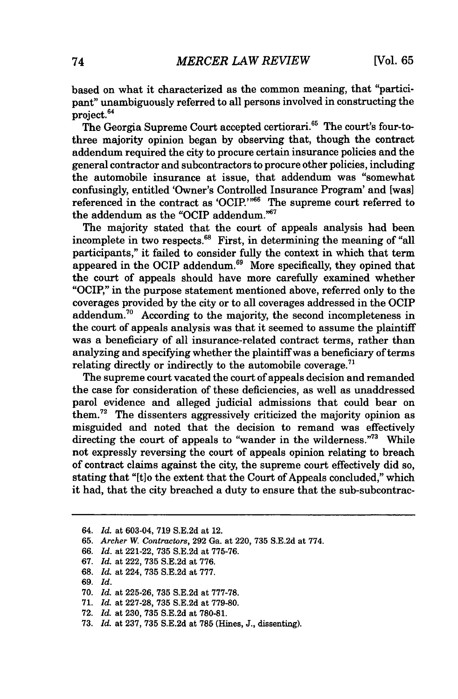based on what it characterized as the common meaning, that "participant" unambiguously referred to all persons involved in constructing the project.<sup>64</sup>

The Georgia Supreme Court accepted certiorari.<sup>65</sup> The court's four-tothree majority opinion began **by** observing that, though the contract addendum required the city to procure certain insurance policies and the general contractor and subcontractors to procure other policies, including the automobile insurance at issue, that addendum was "somewhat confusingly, entitled 'Owner's Controlled Insurance Program' and [was] referenced in the contract as 'OCIP.'<sup>166</sup> The supreme court referred to the addendum as the "OCIP addendum." $67$ 

The majority stated that the court of appeals analysis had been incomplete in two respects.<sup>68</sup> First, in determining the meaning of "all participants," it failed to consider fully the context in which that term appeared in the OCIP addendum. $69$  More specifically, they opined that the court of appeals should have more carefully examined whether "OCIP," in the purpose statement mentioned above, referred only to the coverages provided **by** the city or to all coverages addressed in the OCIP addendum.<sup>70</sup> According to the majority, the second incompleteness in the court of appeals analysis was that it seemed to assume the plaintiff was a beneficiary of all insurance-related contract terms, rather than analyzing and specifying whether the plaintiff was a beneficiary of terms relating directly or indirectly to the automobile coverage.<sup>71</sup>

The supreme court vacated the court of appeals decision and remanded the case for consideration of these deficiencies, as well as unaddressed parol evidence and alleged judicial admissions that could bear on them.72 The dissenters aggressively criticized the majority opinion as misguided and noted that the decision to remand was effectively directing the court of appeals to "wander in the wilderness."<sup>73</sup> While not expressly reversing the court of appeals opinion relating to breach of contract claims against the city, the supreme court effectively did so, stating that "[t]o the extent that the Court of Appeals concluded," which it had, that the city breached a duty to ensure that the sub-subcontrac-

- *67. Id. at* 222, **735 S.E.2d** at **776.**
- **68.** *Id. at* 224, **735 S.E.2d** at **777.**
- *69. Id.*
- **70.** *Id. at* **225-26, 735 S.E.2d** at **777-78.**
- **71.** *Id. at* **227-28, 735 S.E.2d** at **779-80.**
- **72.** *Id. at* **230, 735 S.E.2d** at **780-81.**
- **73.** *Id. at* **237, 735 S.E.2d** at **785** (Hines, **J.,** dissenting).

*<sup>64.</sup> Id.* at 603-04, **719 S.E.2d** at 12.

**<sup>65.</sup>** *Archer W. Contractors,* **292** Ga. at 220, **735 S.E.2d** at **774.**

*<sup>66.</sup> Id. at* 221-22, **735 S.E.2d** at **775-76.**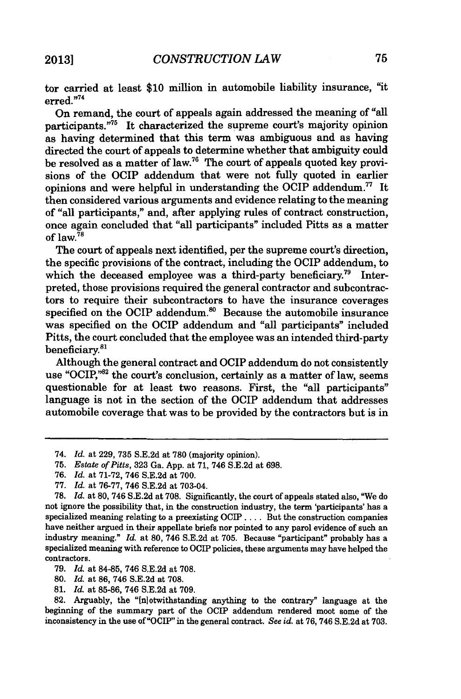tor carried at least **\$10** million in automobile liability insurance, "it erred."74

On remand, the court of appeals again addressed the meaning of "all participants."<sup>75</sup> It characterized the supreme court's majority opinion as having determined that this term was ambiguous and as having directed the court of appeals to determine whether that ambiguity could be resolved as a matter of law.<sup>76</sup> The court of appeals quoted key provisions of the OCIP addendum that were not fully quoted in earlier opinions and were helpful in understanding the OCIP addendum.<sup>77</sup> It then considered various arguments and evidence relating to the meaning of "all participants," and, after applying rules of contract construction, once again concluded that "all participants" included Pitts as a matter **of** law.78

The court of appeals next identified, per the supreme court's direction, the specific provisions of the contract, including the OCIP addendum, to which the deceased employee was a third-party beneficiary.<sup>79</sup> Interpreted, those provisions required the general contractor and subcontractors to require their subcontractors to have the insurance coverages specified on the OCIP addendum. $80$  Because the automobile insurance was specified on the OCIP addendum and "all participants" included Pitts, the court concluded that the employee was an intended third-party beneficiary.<sup>81</sup>

Although the general contract and OCIP addendum do not consistently use "OCIP,"82 the court's conclusion, certainly as a matter of law, seems questionable for at least two reasons. First, the "all participants" language is not in the section of the OCIP addendum that addresses automobile coverage that was to be provided **by** the contractors but is in

**78.** *Id. at* **80,** 746 **S.E.2d** at **708.** Significantly, the court of appeals stated also, "We do not ignore the possibility that, in the construction industry, the term 'participants' has a specialized meaning relating to a preexisting OCIP **....** But the construction companies have neither argued in their appellate briefs nor pointed to any parol evidence of such an industry meaning." *Id.* at **80,** 746 **S.E.2d** at **705.** Because "participant" probably has a specialized meaning with reference to OCIP policies, these arguments may have helped the contractors.

- **80.** *Id.* at **86,** 746 **S.E.2d** at **708.**
- **81.** *Id.* at **85-86,** 746 **S.E.2d** at **709.**

**82.** Arguably, the "(nlotwithstanding anything to the contrary" language at the beginning of the summary part of the OCIP addendum rendered moot some of the inconsistency in the use of "OCIP" in the general contract. *See id.* at **76,** 746 **S.E.2d** at **703.**

<sup>74.</sup> *Id. at* **229, 735 S.E.2d** at **780** (majority opinion).

**<sup>75.</sup>** *Estate of Pitts,* **323** Ga. **App.** at **71,** 746 **S.E.2d** at **698.**

*<sup>76.</sup> Id. at* **71-72,** 746 **S.E.2d** at **700.**

*<sup>77.</sup> Id. at 76-77, 746* **S.E.2d** at 703-04.

**<sup>79.</sup>** *Id.* at **84-85,** 746 **S.E.2d** at **708.**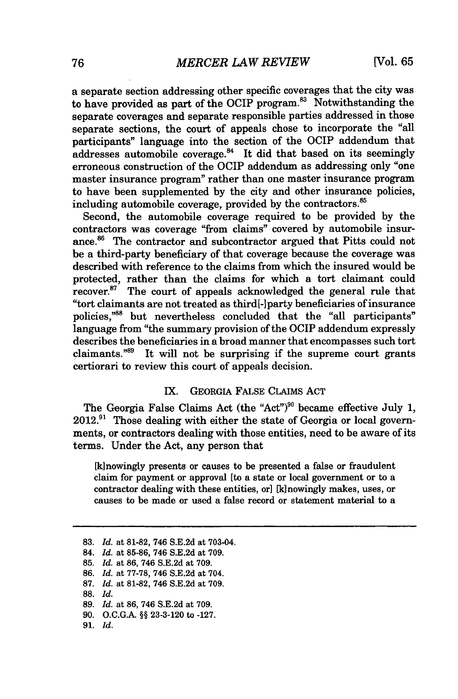a separate section addressing other specific coverages that the city was to have provided as part of the OCIP program.<sup>83</sup> Notwithstanding the separate coverages and separate responsible parties addressed in those separate sections, the court of appeals chose to incorporate the "all participants" language into the section of the OCIP addendum that addresses automobile coverage. $84$  It did that based on its seemingly erroneous construction of the OCIP addendum as addressing only "one master insurance program" rather than one master insurance program to have been supplemented **by** the city and other insurance policies, including automobile coverage, provided by the contractors.<sup>85</sup>

Second, the automobile coverage required to be provided **by** the contractors was coverage "from claims" covered **by** automobile insurance.<sup>86</sup> The contractor and subcontractor argued that Pitts could not be a third-party beneficiary of that coverage because the coverage was described with reference to the claims from which the insured would be protected, rather than the claims for which a tort claimant could recover. $87$  The court of appeals acknowledged the general rule that "tort claimants are not treated as third[-]party beneficiaries of insurance policies,"<sup>88</sup> but nevertheless concluded that the "all participants" language from "the summary provision of the OCIP addendum expressly describes the beneficiaries in a broad manner that encompasses such tort claimants."<sup>89</sup> It will not be surprising if the supreme court grants certiorari to review this court of appeals decision.

## IX. GEORGIA FALSE CLAIMS **ACT**

The Georgia False Claims Act (the "Act")<sup>90</sup> became effective July 1, **2012.91** Those dealing with either the state of Georgia or local governments, or contractors dealing with those entities, need to be aware of its terms. Under the Act, any person that

[kinowingly presents or causes to be presented a false or fraudulent claim for payment or approval [to a state or local government or to a contractor dealing with these entities, or] [kinowingly makes, uses, or causes to be made or used a false record or statement material to a

- **87.** *Id.* at **81-82,** 746 **S.E.2d** at **709.**
- **88.** *Id.*

**91.** *Id.*

**<sup>83.</sup>** *Id.* at **81-82,** 746 **S.E.2d** at 703-04.

<sup>84.</sup> *Id.* at **85-86,** 746 **S.E.2d** at **709.**

**<sup>85.</sup>** *Id.* at **86,** 746 **S.E.2d** at **709.**

**<sup>86.</sup>** *Id.* at **77-78,** 746 **S.E.2d** at 704.

**<sup>89.</sup>** *Id.* at **86,** 746 **S.E.2d** at **709.**

**<sup>90.</sup> O.C.G.A. §§ 23-3-120** to **-127.**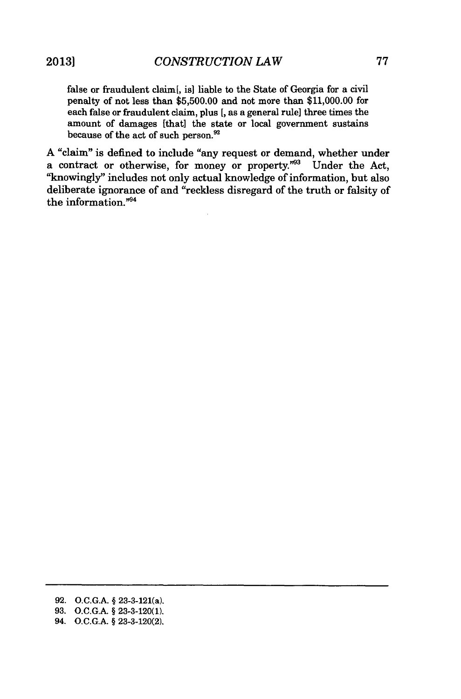false or fraudulent claim[, is] liable to the State of Georgia for a civil penalty of not less than **\$5,500.00** and not more than **\$11,000.00** for each false or fraudulent claim, plus **[,** as a general rule] three times the amount of damages [that] the state or local government sustains because of the act of such person.<sup>92</sup>

**A** "claim" is defined to include "any request or demand, whether under a contract or otherwise, for money or property."<sup>33</sup> Under the Act, "knowingly" includes not only actual knowledge of information, but also deliberate ignorance of and "reckless disregard of the truth or falsity of the information."94

**<sup>92.</sup> O.C.G.A. §** 23-3-121(a).

**<sup>93.</sup> O.C.G.A. § 23-3-120(1).**

<sup>94.</sup> **O.C.G.A. § 23-3-120(2).**